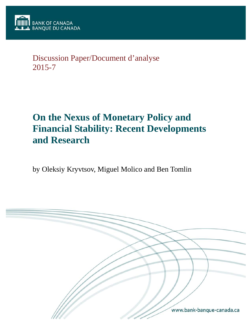# Discussion Paper/Document d'analyse 2015-7

# **On the Nexus of Monetary Policy and Financial Stability: Recent Developments and Research**

by Oleksiy Kryvtsov, Miguel Molico and Ben Tomlin

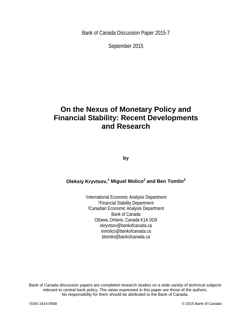Bank of Canada Discussion Paper 2015-7

September 2015

# **On the Nexus of Monetary Policy and Financial Stability: Recent Developments and Research**

**by**

#### **Oleksiy Kryvtsov,<sup>1</sup> Miguel Molico2 and Ben Tomlin3**

1International Economic Analysis Department 2Financial Stability Department 3Canadian Economic Analysis Department Bank of Canada Ottawa, Ontario, Canada K1A 0G9 okryvtsov@bankofcanada.ca mmolico@bankofcanada.ca btomlin@bankofcanada.ca

Bank of Canada discussion papers are completed research studies on a wide variety of technical subjects relevant to central bank policy. The views expressed in this paper are those of the authors. No responsibility for them should be attributed to the Bank of Canada.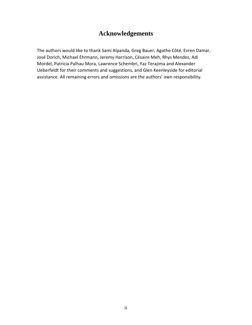### **Acknowledgements**

The authors would like to thank Sami Alpanda, Greg Bauer, Agathe Côté, Evren Damar, José Dorich, Michael Ehrmann, Jeremy Harrison, Césaire Meh, Rhys Mendes, Adi Mordel, Patricia Palhau Mora, Lawrence Schembri, Yaz Terajima and Alexander Ueberfeldt for their comments and suggestions, and Glen Keenleyside for editorial assistance. All remaining errors and omissions are the authors' own responsibility.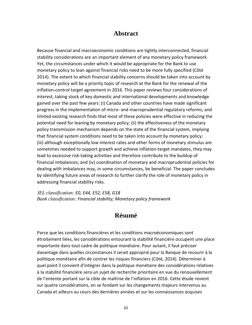#### **Abstract**

Because financial and macroeconomic conditions are tightly interconnected, financial stability considerations are an important element of any monetary policy framework. Yet, the circumstances under which it would be appropriate for the Bank to use monetary policy to lean against financial risks need to be more fully specified (Côté 2014). The extent to which financial stability concerns should be taken into account by monetary policy will be a priority topic of research at the Bank for the renewal of the inflation-control target agreement in 2016. This paper reviews four considerations of interest, taking stock of key domestic and international developments and knowledge gained over the past few years: (i) Canada and other countries have made significant progress in the implementation of micro- and macroprudential regulatory reforms, and limited existing research finds that most of these policies were effective in reducing the potential need for leaning by monetary policy; (ii) the effectiveness of the monetary policy transmission mechanism depends on the state of the financial system, implying that financial system conditions need to be taken into account by monetary policy; (iii) although exceptionally low interest rates and other forms of monetary stimulus are sometimes needed to support growth and achieve inflation-target mandates, they may lead to excessive risk-taking activities and therefore contribute to the buildup of financial imbalances; and (iv) coordination of monetary and macroprudential policies for dealing with imbalances may, in some circumstances, be beneficial. The paper concludes by identifying future areas of research to further clarify the role of monetary policy in addressing financial stability risks.

*JEL classification: E0, E44, E52, E58, G18 Bank classification: Financial stability; Monetary policy framework*

#### **Résumé**

Parce que les conditions financières et les conditions macroéconomiques sont étroitement liées, les considérations entourant la stabilité financière occupent une place importante dans tout cadre de politique monétaire. Pour autant, il faut préciser davantage dans quelles circonstances il serait approprié pour la Banque de recourir à la politique monétaire afin de contrer les risques financiers (Côté, 2014). Déterminer à quel point il convient d'intégrer dans la politique monétaire des considérations relatives à la stabilité financière sera un sujet de recherche prioritaire en vue du renouvellement de l'entente portant sur la cible de maîtrise de l'inflation en 2016. Cette étude revient sur quatre considérations, en se fondant sur les changements majeurs intervenus au Canada et ailleurs au cours des dernières années et sur les connaissances acquises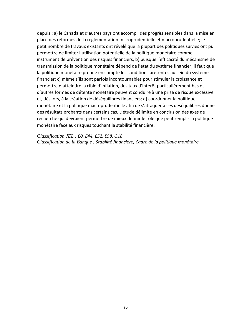depuis : a) le Canada et d'autres pays ont accompli des progrès sensibles dans la mise en place des réformes de la réglementation microprudentielle et macroprudentielle; le petit nombre de travaux existants ont révélé que la plupart des politiques suivies ont pu permettre de limiter l'utilisation potentielle de la politique monétaire comme instrument de prévention des risques financiers; b) puisque l'efficacité du mécanisme de transmission de la politique monétaire dépend de l'état du système financier, il faut que la politique monétaire prenne en compte les conditions présentes au sein du système financier; c) même s'ils sont parfois incontournables pour stimuler la croissance et permettre d'atteindre la cible d'inflation, des taux d'intérêt particulièrement bas et d'autres formes de détente monétaire peuvent conduire à une prise de risque excessive et, dès lors, à la création de déséquilibres financiers; d) coordonner la politique monétaire et la politique macroprudentielle afin de s'attaquer à ces déséquilibres donne des résultats probants dans certains cas. L'étude délimite en conclusion des axes de recherche qui devraient permettre de mieux définir le rôle que peut remplir la politique monétaire face aux risques touchant la stabilité financière.

*Classification JEL : E0, E44, E52, E58, G18 Classification de la Banque : Stabilité financière; Cadre de la politique monétaire*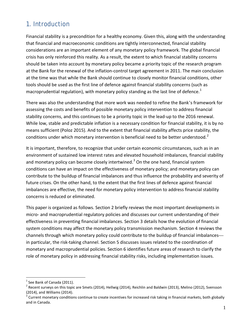## 1. Introduction

Financial stability is a precondition for a healthy economy. Given this, along with the understanding that financial and macroeconomic conditions are tightly interconnected, financial stability considerations are an important element of any monetary policy framework. The global financial crisis has only reinforced this reality. As a result, the extent to which financial stability concerns should be taken into account by monetary policy became a priority topic of the research program at the Bank for the renewal of the inflation-control target agreement in 2011. The main conclusion at the time was that while the Bank should continue to closely monitor financial conditions, other tools should be used as the first line of defence against financial stability concerns (such as macroprudential regulation), with monetary policy standing as the last line of defence.<sup>[1](#page-5-0)</sup>

There was also the understanding that more work was needed to refine the Bank's framework for assessing the costs and benefits of possible monetary policy intervention to address financial stability concerns, and this continues to be a priority topic in the lead-up to the 2016 renewal. While low, stable and predictable inflation is a necessary condition for financial stability, it is by no means sufficient (Poloz 2015). And to the extent that financial stability affects price stability, the conditions under which monetary intervention is beneficial need to be better understood.<sup>[2](#page-5-1)</sup>

It is important, therefore, to recognize that under certain economic circumstances, such as in an environment of sustained low interest rates and elevated household imbalances, financial stability and monetary policy can become closely intertwined.<sup>[3](#page-5-2)</sup> On the one hand, financial system conditions can have an impact on the effectiveness of monetary policy; and monetary policy can contribute to the buildup of financial imbalances and thus influence the probability and severity of future crises. On the other hand, to the extent that the first lines of defence against financial imbalances are effective, the need for monetary policy intervention to address financial stability concerns is reduced or eliminated.

This paper is organized as follows. Section 2 briefly reviews the most important developments in micro- and macroprudential regulatory policies and discusses our current understanding of their effectiveness in preventing financial imbalances. Section 3 details how the evolution of financial system conditions may affect the monetary policy transmission mechanism. Section 4 reviews the channels through which monetary policy could contribute to the buildup of financial imbalances in particular, the risk-taking channel. Section 5 discusses issues related to the coordination of monetary and macroprudential policies. Section 6 identifies future areas of research to clarify the role of monetary policy in addressing financial stability risks, including implementation issues.

<span id="page-5-3"></span><span id="page-5-1"></span><span id="page-5-0"></span><sup>&</sup>lt;sup>1</sup> See Bank of Canada (2011).<br><sup>2</sup> Recent surveys on this topic are Smets (2014), Hellwig (2014), Reichlin and Baldwin (2013), Melino (2012), Svensson (2014), and Williams (2014).

<span id="page-5-2"></span> $3$  Current monetary conditions continue to create incentives for increased risk taking in financial markets, both globally and in Canada.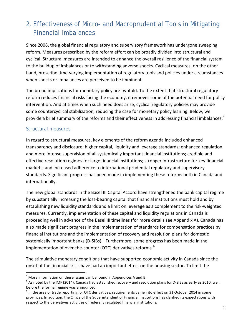# 2. Effectiveness of Micro- and Macroprudential Tools in Mitigating Financial Imbalances

Since 2008, the global financial regulatory and supervisory framework has undergone sweeping reform. Measures prescribed by the reform effort can be broadly divided into structural and cyclical. Structural measures are intended to enhance the overall resilience of the financial system to the buildup of imbalances or to withstanding adverse shocks. Cyclical measures, on the other hand, prescribe time-varying implementation of regulatory tools and policies under circumstances when shocks or imbalances are perceived to be imminent.

The broad implications for monetary policy are twofold. To the extent that structural regulatory reform reduces financial risks facing the economy, it removes some of the potential need for policy intervention. And at times when such need does arise, cyclical regulatory policies may provide some countercyclical stabilization, reducing the case for monetary policy leaning. Below, we provide a brief summary of the reforms and their effectiveness in addressing financial imbalances.<sup>[4](#page-5-3)</sup>

#### Structural measures

In regard to structural measures, key elements of the reform agenda included enhanced transparency and disclosure; higher capital, liquidity and leverage standards; enhanced regulation and more intense supervision of all systemically important financial institutions; credible and effective resolution regimes for large financial institutions; stronger infrastructure for key financial markets; and increased adherence to international prudential regulatory and supervisory standards. Significant progress has been made in implementing these reforms both in Canada and internationally.

The new global standards in the Basel III Capital Accord have strengthened the bank capital regime by substantially increasing the loss-bearing capital that financial institutions must hold and by establishing new liquidity standards and a limit on leverage as a complement to the risk-weighted measures. Currently, implementation of these capital and liquidity regulations in Canada is proceeding well in advance of the Basel III timelines (for more details see Appendix A). Canada has also made significant progress in the implementation of standards for compensation practices by financial institutions and the implementation of recovery and resolution plans for domestic systemically important banks (D-SIBs).<sup>[5](#page-6-0)</sup> Furthermore, some progress has been made in the implementation of over-the-counter (OTC) derivatives reforms. $6$ 

The stimulative monetary conditions that have supported economic activity in Canada since the onset of the financial crisis have had an important effect on the housing sector. To limit the

<span id="page-6-0"></span>

<sup>&</sup>lt;sup>4</sup> More information on these issues can be found in Appendices A and B.<br><sup>5</sup> As noted by the IMF (2014), Canada had established recovery and resolution plans for D-SIBs as early as 2010, well before the formal regime was announced.

<span id="page-6-2"></span><span id="page-6-1"></span> $<sup>6</sup>$  In the area of trade reporting for OTC derivatives, requirements came into effect on 31 October 2014 in some</sup> provinces. In addition, the Office of the Superintendent of Financial Institutions has clarified its expectations with respect to the derivatives activities of federally regulated financial institutions.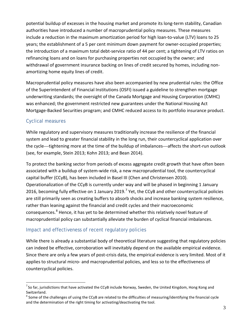potential buildup of excesses in the housing market and promote its long-term stability, Canadian authorities have introduced a number of macroprudential policy measures. These measures include a reduction in the maximum amortization period for high loan-to-value (LTV) loans to 25 years; the establishment of a 5 per cent minimum down payment for owner-occupied properties; the introduction of a maximum total debt-service ratio of 44 per cent; a tightening of LTV ratios on refinancing loans and on loans for purchasing properties not occupied by the owner; and withdrawal of government insurance backing on lines of credit secured by homes, including nonamortizing home equity lines of credit.

Macroprudential policy measures have also been accompanied by new prudential rules: the Office of the Superintendent of Financial Institutions (OSFI) issued a guideline to strengthen mortgage underwriting standards; the oversight of the Canada Mortgage and Housing Corporation (CMHC) was enhanced; the government restricted new guarantees under the National Housing Act Mortgage-Backed Securities program; and CMHC reduced access to its portfolio insurance product.

#### Cyclical measures

While regulatory and supervisory measures traditionally increase the resilience of the financial system and lead to greater financial stability in the long run, their countercyclical application over the cycle—tightening more at the time of the buildup of imbalances—affects the short-run outlook (see, for example, Stein 2013; Kohn 2013; and Bean 2014).

To protect the banking sector from periods of excess aggregate credit growth that have often been associated with a buildup of system-wide risk, a new macroprudential tool, the countercyclical capital buffer (CCyB), has been included in Basel III (Chen and Christensen 2010). Operationalization of the CCyB is currently under way and will be phased in beginning 1 January 2016, becoming fully effective on 1 January 2019.<sup>[7](#page-6-2)</sup> Yet, the CCyB and other countercyclical policies are still primarily seen as creating buffers to absorb shocks and increase banking system resilience, rather than leaning against the financial and credit cycles and their macroeconomic consequences.<sup>[8](#page-7-0)</sup> Hence, it has yet to be determined whether this relatively novel feature of macroprudential policy can substantially alleviate the burden of cyclical financial imbalances.

#### Impact and effectiveness of recent regulatory policies

<span id="page-7-1"></span>While there is already a substantial body of theoretical literature suggesting that regulatory policies can indeed be effective, corroboration will inevitably depend on the available empirical evidence. Since there are only a few years of post-crisis data, the empirical evidence is very limited. Most of it applies to structural micro- and macroprudential policies, and less so to the effectiveness of countercyclical policies.

<sup>–&</sup>lt;br>7  $\textsuperscript{7}$  So far, jurisdictions that have activated the CCyB include Norway, Sweden, the United Kingdom, Hong Kong and Switzerland.

<span id="page-7-0"></span> $8$  Some of the challenges of using the CCyB are related to the difficulties of measuring/identifying the financial cycle and the determination of the right timing for activating/deactivating the tool.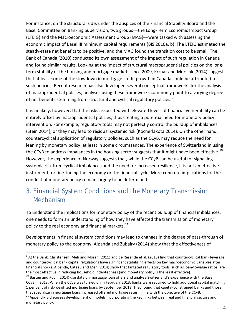For instance, on the structural side, under the auspices of the Financial Stability Board and the Basel Committee on Banking Supervision, two groups—the Long-Term Economic Impact Group (LTEIG) and the Macroeconomic Assessment Group (MAG)—were tasked with assessing the economic impact of Basel III minimum capital requirements (BIS 2010a, b). The LTEIG estimated the steady-state net benefits to be positive, and the MAG found the transition cost to be small. The Bank of Canada (2010) conducted its own assessment of the impact of such regulation in Canada and found similar results. Looking at the impact of structural macroprudential policies on the longterm stability of the housing and mortgage markets since 2009, Krznar and Morsink (2014) suggest that at least some of the slowdown in mortgage credit growth in Canada could be attributed to such policies. Recent research has also developed several conceptual frameworks for the analysis of macroprudential policies; analyses using these frameworks commonly point to a varying degree of net benefits stemming from structural and cyclical regulatory policies.<sup>[9](#page-7-1)</sup>

It is unlikely, however, that the risks associated with elevated levels of financial vulnerability can be entirely offset by macroprudential policies, thus creating a potential need for monetary policy intervention. For example, regulatory tools may not perfectly control the buildup of imbalances (Stein 2014), or they may lead to residual systemic risk (Kocherlakota 2014). On the other hand, countercyclical application of regulatory policies, such as the CCyB, may reduce the need for leaning by monetary policy, at least in some circumstances. The experience of Switzerland in using the CCyB to address imbalances in the housing sector suggests that it might have been effective.<sup>[10](#page-8-0)</sup> However, the experience of Norway suggests that, while the CCyB can be useful for signalling systemic risk from cyclical imbalances and the need for increased resilience, it is not an effective instrument for fine-tuning the economy or the financial cycle. More concrete implications for the conduct of monetary policy remain largely to be determined.

# 3. Financial System Conditions and the Monetary Transmission Mechanism

To understand the implications for monetary policy of the recent buildup of financial imbalances, one needs to form an understanding of how they have affected the transmission of monetary policy to the real economy and financial markets. $^{11}$  $^{11}$  $^{11}$ 

Developments in financial system conditions may lead to changes in the degree of pass-through of monetary policy to the economy. Alpanda and Zubairy (2014) show that the effectiveness of

 $^9$  At the Bank, Christensen, Meh and Moran (2011) and de Resende et al. (2013) find that countercyclical bank leverage and countercyclical bank capital regulations have significant stabilizing effects on key macroeconomic variables after financial shocks. Alpanda, Cateau and Meh (2014) show that targeted regulatory tools, such as loan-to-value ratios, are the most effective in reducing household indebtedness (and monetary policy is the least effective).

<span id="page-8-0"></span> $^{10}$  Basten and Koch (2014) use data on mortgage loan offers and analyze Switzerland's experience with the Basel III CCyB in 2013. When the CCyB was turned on in February 2013, banks were required to hold additional capital matching 1 per cent of risk-weighted mortgage loans by September 2013. They found that capital-constrained banks and those

<span id="page-8-1"></span>that specialize in mortgage loans increased offered mortgage rates in line with the objective of the CCyB.<br><sup>11</sup> Appendix B discusses development of models incorporating the key links between real and financial sectors and monetary policy.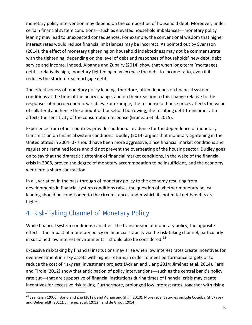monetary policy intervention may depend on the composition of household debt. Moreover, under certain financial system conditions—such as elevated household imbalances—monetary policy leaning may lead to unexpected consequences. For example, the conventional wisdom that higher interest rates would reduce financial imbalances may be incorrect. As pointed out by Svensson (2014), the effect of monetary tightening on household indebtedness may not be commensurate with the tightening, depending on the level of debt and responses of households' new debt, debt service and income. Indeed, Alpanda and Zubairy (2014) show that when long-term (mortgage) debt is relatively high, monetary tightening may *increase* the debt-to-income ratio, even if it reduces the stock of real mortgage debt.

The effectiveness of monetary policy leaning, therefore, often depends on financial system conditions at the time of the policy change, and on their reaction to this change relative to the responses of macroeconomic variables. For example, the response of house prices affects the value of collateral and hence the amount of household borrowing; the resulting debt-to-income ratio affects the sensitivity of the consumption response (Bruneau et al. 2015).

Experience from other countries provides additional evidence for the dependence of monetary transmission on financial system conditions. Dudley (2014) argues that monetary tightening in the United States in 2004–07 should have been more aggressive, since financial market conditions and regulations remained loose and did not prevent the overheating of the housing sector. Dudley goes on to say that the dramatic tightening of financial market conditions, in the wake of the financial crisis in 2008, proved the degree of monetary accommodation to be insufficient, and the economy went into a sharp contraction

In all, variation in the pass-through of monetary policy to the economy resulting from developments in financial system conditions raises the question of whether monetary policy leaning should be conditioned to the circumstances under which its potential net benefits are higher.

## 4. Risk-Taking Channel of Monetary Policy

While financial system conditions can affect the transmission of monetary policy, the opposite effect—the impact of monetary policy on financial stability via the risk-taking channel, particularly in sustained low interest environments—should also be considered.<sup>[12](#page-8-1)</sup>

<span id="page-9-0"></span>Excessive risk-taking by financial institutions may arise when low interest rates create incentives for overinvestment in risky assets with higher returns in order to meet performance targets or to reduce the cost of risky real investment projects (Adrian and Liang 2014; Jiménez et al. 2014). Farhi and Tirole (2012) show that anticipation of policy interventions—such as the central bank's policy rate cut—that are supportive of financial institutions during times of financial crisis may create incentives for excessive risk taking. Furthermore, prolonged low interest rates, together with rising

<sup>&</sup>lt;sup>12</sup> See Rajan (2006); Borio and Zhu (2012); and Adrian and Shin (2010). More recent studies include Cociuba, Shukayev and Ueberfeldt (2011); Jimenez et al. (2012); and de Groot (2014).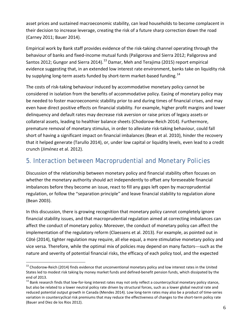asset prices and sustained macroeconomic stability, can lead households to become complacent in their decision to increase leverage, creating the risk of a future sharp correction down the road (Carney 2011; Bauer 2014).

Empirical work by Bank staff provides evidence of the risk-taking channel operating through the behaviour of banks and fixed-income mutual funds (Paligorova and Sierra 2012; Paligorova and Santos 2012; Gungor and Sierra 2014).<sup>[13](#page-9-0)</sup> Damar, Meh and Terajima (2015) report empirical evidence suggesting that, in an extended low interest rate environment, banks take on liquidity risk by supplying long-term assets funded by short-term market-based funding.<sup>[14](#page-10-0)</sup>

The costs of risk-taking behaviour induced by accommodative monetary policy cannot be considered in isolation from the benefits of accommodative policy. Easing of monetary policy may be needed to foster macroeconomic stability prior to and during times of financial crises, and may even have direct positive effects on financial stability. For example, higher profit margins and lower delinquency and default rates may decrease risk aversion or raise prices of legacy assets or collateral assets, leading to healthier balance sheets (Chodorow-Reich 2014). Furthermore, premature removal of monetary stimulus, in order to alleviate risk-taking behaviour, could fall short of having a significant impact on financial imbalances (Bean et al. 2010), hinder the recovery that it helped generate (Tarullo 2014), or, under low capital or liquidity levels, even lead to a credit crunch (Jiménez et al. 2012).

# 5. Interaction between Macroprudential and Monetary Policies

Discussion of the relationship between monetary policy and financial stability often focuses on whether the monetary authority should act independently to offset any foreseeable financial imbalances before they become an issue, react to fill any gaps left open by macroprudential regulation, or follow the "separation principle" and leave financial stability to regulation alone (Bean 2003).

In this discussion, there is growing recognition that monetary policy cannot completely ignore financial stability issues, and that macroprudential regulation aimed at correcting imbalances can affect the conduct of monetary policy. Moreover, the conduct of monetary policy can affect the implementation of the regulatory reform (Claessens et al. 2013). For example, as pointed out in Côté (2014), tighter regulation may require, all else equal, a more stimulative monetary policy and vice versa. Therefore, while the optimal mix of policies may depend on many factors—such as the nature and severity of potential financial risks, the efficacy of each policy tool, and the expected

<sup>&</sup>lt;sup>13</sup> Chodorow-Reich (2014) finds evidence that unconventional monetary policy and low interest rates in the United States led to modest risk taking by money market funds and defined-benefit pension funds, which dissipated by the end of 2013.

<span id="page-10-1"></span><span id="page-10-0"></span> $14$  Bank research finds that low-for-long interest rates may not only reflect a countercyclical monetary policy stance, but also be related to a lower neutral policy rate driven by structural forces, such as a lower global neutral rate and reduced potential output growth in Canada (Mendes 2014). Low long-term rates may also be a product of time-series variation in countercyclical risk premiums that may reduce the effectiveness of changes to the short-term policy rate (Bauer and Diez de los Rios 2012).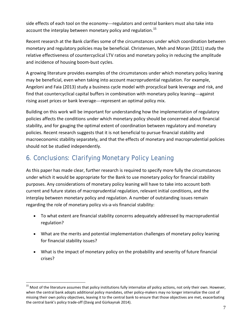side effects of each tool on the economy—regulators and central bankers must also take into account the interplay between monetary policy and regulation.<sup>[15](#page-10-1)</sup>

Recent research at the Bank clarifies some of the circumstances under which coordination between monetary and regulatory policies may be beneficial. Christensen, Meh and Moran (2011) study the relative effectiveness of countercyclical LTV ratios and monetary policy in reducing the amplitude and incidence of housing boom-bust cycles.

A growing literature provides examples of the circumstances under which monetary policy leaning may be beneficial, even when taking into account macroprudential regulation. For example, Angeloni and Faia (2013) study a business cycle model with procyclical bank leverage and risk, and find that countercyclical capital buffers in combination with monetary policy leaning—against rising asset prices or bank leverage—represent an optimal policy mix.

Building on this work will be important for understanding how the implementation of regulatory policies affects the conditions under which monetary policy should be concerned about financial stability, and for gauging the optimal extent of coordination between regulatory and monetary policies. Recent research suggests that it is not beneficial to pursue financial stability and macroeconomic stability separately, and that the effects of monetary and macroprudential policies should not be studied independently.

# 6. Conclusions: Clarifying Monetary Policy Leaning

As this paper has made clear, further research is required to specify more fully the circumstances under which it would be appropriate for the Bank to use monetary policy for financial stability purposes. Any considerations of monetary policy leaning will have to take into account both current and future states of macroprudential regulation, relevant initial conditions, and the interplay between monetary policy and regulation. A number of outstanding issues remain regarding the role of monetary policy vis-a-vis financial stability:

- To what extent are financial stability concerns adequately addressed by macroprudential regulation?
- What are the merits and potential implementation challenges of monetary policy leaning for financial stability issues?
- What is the impact of monetary policy on the probability and severity of future financial crises?

<span id="page-11-0"></span><sup>15</sup> Most of the literature assumes that policy institutions fully internalize *all* policy actions, not only their own. However, when the central bank adopts additional policy mandates, other policy-makers may no longer internalize the cost of missing their own policy objectives, leaving it to the central bank to ensure that those objectives are met, exacerbating the central bank's policy trade-off (Davig and Gürkaynak 2014).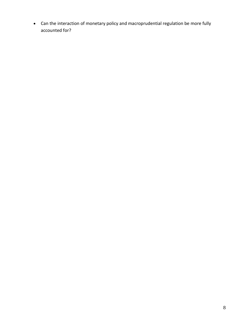• Can the interaction of monetary policy and macroprudential regulation be more fully accounted for?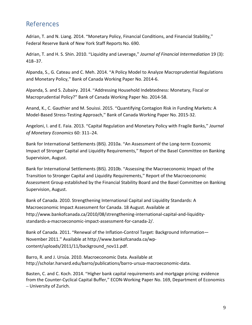### References

Adrian, T. and N. Liang. 2014. "Monetary Policy, Financial Conditions, and Financial Stability," Federal Reserve Bank of New York Staff Reports No. 690.

Adrian, T. and H. S. Shin. 2010. "Liquidity and Leverage," *Journal of Financial Intermediation* 19 (3): 418–37.

Alpanda, S., G. Cateau and C. Meh. 2014. "A Policy Model to Analyze Macroprudential Regulations and Monetary Policy," Bank of Canada Working Paper No. 2014-6.

Alpanda, S. and S. Zubairy. 2014. "Addressing Household Indebtedness: Monetary, Fiscal or Macroprudential Policy?" Bank of Canada Working Paper No. 2014-58.

Anand, K., C. Gauthier and M. Souissi. 2015. "Quantifying Contagion Risk in Funding Markets: A Model-Based Stress-Testing Approach," Bank of Canada Working Paper No. 2015-32.

Angeloni, I. and E. Faia. 2013. "Capital Regulation and Monetary Policy with Fragile Banks," *Journal of Monetary Economics* 60: 311–24.

Bank for International Settlements (BIS). 2010a. "An Assessment of the Long-term Economic Impact of Stronger Capital and Liquidity Requirements," Report of the Basel Committee on Banking Supervision, August.

Bank for International Settlements (BIS). 2010b. "Assessing the Macroeconomic Impact of the Transition to Stronger Capital and Liquidity Requirements," Report of the Macroeconomic Assessment Group established by the Financial Stability Board and the Basel Committee on Banking Supervision, August.

Bank of Canada. 2010. Strengthening International Capital and Liquidity Standards: A Macroeconomic Impact Assessment for Canada. 18 August. Available at http://www.bankofcanada.ca/2010/08/strengthening-international-capital-and-liquiditystandards-a-macroeconomic-impact-assessment-for-canada-2/.

Bank of Canada. 2011. "Renewal of the Inflation-Control Target: Background Information— November 2011." Available at http://www.bankofcanada.ca/wpcontent/uploads/2011/11/background\_nov11.pdf.

Barro, R. and J. Ursúa. 2010. Macroeconomic Data. Available at [http://scholar.harvard.edu/barro/publications/barro](http://scholar.harvard.edu/barro/publications/barro‐ursua‐macroeconomic‐data)‐ursua‐macroeconomic‐data.

Basten, C. and C. Koch. 2014. "Higher bank capital requirements and mortgage pricing: evidence from the Counter-Cyclical Capital Buffer," ECON-Working Paper No. 169, Department of Economics – University of Zurich.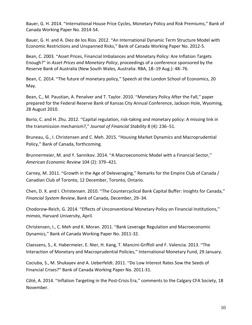Bauer, G. H. 2014. "International House Price Cycles, Monetary Policy and Risk Premiums," Bank of Canada Working Paper No. 2014-54.

Bauer, G. H. and A. Diez de los Rios. 2012. "An International Dynamic Term Structure Model with Economic Restrictions and Unspanned Risks," Bank of Canada Working Paper No. 2012-5.

Bean, C. 2003. "[Asset Prices, Financial Imbalances and Monetary Policy: Are Inflation Targets](http://www.rba.gov.au/publications/confs/2003)  [Enough?](http://www.rba.gov.au/publications/confs/2003)" in *Asset Prices and Monetary Policy*, proceedings of a conference sponsored by the Reserve Bank of Australia (New South Wales, Australia: RBA, 18–19 Aug.): 48–76.

Bean, C. 2014. "The future of monetary policy," Speech at the London School of Economics, 20 May.

Bean, C., M. Paustian, A. Penalver and T. Taylor. 2010. "Monetary Policy After the Fall," paper prepared for the Federal Reserve Bank of Kansas City Annual Conference, Jackson Hole, Wyoming, 28 August 2010.

Borio, C. and H. Zhu. 2012. "[Capital regulation, risk-taking and monetary policy: A missing link in](https://ideas.repec.org/a/eee/finsta/v8y2012i4p236-251.html)  [the transmission mechanism?,](https://ideas.repec.org/a/eee/finsta/v8y2012i4p236-251.html)" *[Journal of Financial Stability](https://ideas.repec.org/s/eee/finsta.html)* 8 (4): 236–51.

Bruneau, G., I. Christensen and C. Meh. 2015. "Housing Market Dynamics and Macroprudential Policy," Bank of Canada, forthcoming.

Brunnermeier, M. and Y. Sannikov. 2014. "A Macroeconomic Model with a Financial Sector," *American Economic Review* 104 (2): 379–421.

Carney, M. 2011. "Growth in the Age of Deleveraging," Remarks for the Empire Club of Canada / Canadian Club of Toronto, 12 December, Toronto, Ontario.

Chen, D. X. and I. Christensen. 2010. "The Countercyclical Bank Capital Buffer: Insights for Canada," *Financial System Review*, Bank of Canada, December, 29–34.

Chodorow-Reich, G. 2014. "Effects of Unconventional Monetary Policy on Financial Institutions," mimeo, Harvard University, April.

Christensen, I., C. Meh and K. Moran. 2011. "Bank Leverage Regulation and Macroeconomic Dynamics," Bank of Canada Working Paper No. 2011-32.

Claessens, S., K. Habermeier, E. Nier, H. Kang, T. Mancini-Griffoli and F. Valencia. 2013. "The Interaction of Monetary and Macroprudential Policies," International Monetary Fund, 29 January.

Cociuba, S., M. Shukayev and A. Ueberfeldt. 2011. "Do Low Interest Rates Sow the Seeds of Financial Crises?" Bank of Canada Working Paper No. 2011-31.

Côté, A. 2014. "Inflation Targeting in the Post-Crisis Era," comments to the Calgary CFA Society, 18 November.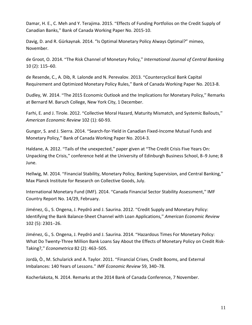Damar, H. E., C. Meh and Y. Terajima. 2015. "Effects of Funding Portfolios on the Credit Supply of Canadian Banks," Bank of Canada Working Paper No. 2015-10.

Davig, D. and R. Gürkaynak. 2014. "Is Optimal Monetary Policy Always Optimal?" mimeo, November.

de Groot, O. 2014. "The Risk Channel of Monetary Policy," *International Journal of Central Banking* 10 (2): 115–60.

de Resende, C., A. Dib, R. Lalonde and N. Perevalov. 2013. "Countercyclical Bank Capital Requirement and Optimized Monetary Policy Rules," Bank of Canada Working Paper No. 2013-8.

Dudley, W. 2014. "The 2015 Economic Outlook and the Implications for Monetary Policy," Remarks at Bernard M. Baruch College, New York City, 1 December.

Farhi, E. and J. Tirole. 2012. "[Collective Moral Hazard, Maturity Mismatch, and Systemic Bailouts,](https://ideas.repec.org/a/aea/aecrev/v102y2012i1p60-93.html)" *[American Economic Review](https://ideas.repec.org/s/aea/aecrev.html)* 102 (1): 60-93.

Gungor, S. and J. Sierra. 2014. "Search-for-Yield in Canadian Fixed-Income Mutual Funds and Monetary Policy," Bank of Canada Working Paper No. 2014-3.

Haldane, A. 2012. "Tails of the unexpected," paper given at "The Credit Crisis Five Years On: Unpacking the Crisis," conference held at the University of Edinburgh Business School, 8–9 June; 8 June.

Hellwig, M. 2014. "Financial Stability, Monetary Policy, Banking Supervision, and Central Banking," Max Planck Institute for Research on Collective Goods, July.

International Monetary Fund (IMF). 2014. "Canada Financial Sector Stability Assessment," IMF Country Report No. 14/29, February.

Jiménez, G., S. Ongena, J. Peydró and J. Saurina. 2012. "Credit Supply and Monetary Policy: Identifying the Bank Balance-Sheet Channel with Loan Applications," *American Economic Review*  102 (5): 2301–26.

Jiménez, G., S. Ongena, J. Peydró and J. Saurina. 2014. "Hazardous Times For Monetary Policy: What Do Twenty-Three Million Bank Loans Say About the Effects of Monetary Policy on Credit Risk-Taking?," *Econometrica* 82 (2): 463–505.

Jordà, Ò., M. Schularick and A. Taylor. 2011. "Financial Crises, Credit Booms, and External Imbalances: 140 Years of Lessons." *IMF Economic Review* 59, 340–78.

Kocherlakota, N. 2014. Remarks at the 2014 Bank of Canada Conference, 7 November.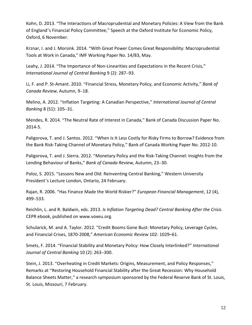Kohn, D. 2013. "The Interactions of Macroprudential and Monetary Policies: A View from the Bank of England's Financial Policy Committee," Speech at the Oxford Institute for Economic Policy, Oxford, 6 November.

Krznar, I. and J. Morsink. 2014. "With Great Power Comes Great Responsibility: Macroprudential Tools at Work in Canada," IMF Working Paper No. 14/83, May.

Leahy, J. 2014. "The Importance of Non-Linearities and Expectations in the Recent Crisis," *International Journal of Central Banking* 9 (2): 287–93.

Li, F. and P. St-Amant. 2010. "Financial Stress, Monetary Policy, and Economic Activity," *Bank of Canada Review*, Autumn, 9–18.

Melino, A. 2012. "Inflation Targeting: A Canadian Perspective," *International Journal of Central Banking* 8 (S1): 105–31.

Mendes, R. 2014. "The Neutral Rate of Interest in Canada," Bank of Canada Discussion Paper No. 2014-5.

Paligorova, T. and J. Santos. 2012. "When Is It Less Costly for Risky Firms to Borrow? Evidence from the Bank Risk-Taking Channel of Monetary Policy," Bank of Canada Working Paper No. 2012-10.

Paligorova, T. and J. Sierra. 2012. "[Monetary Policy and the Risk-Taking Channel: Insights from the](http://www.bankofcanada.ca/wp-content/uploads/2012/11/boc-review-autumn12-paligorova.pdf)  [Lending Behaviour of Banks,](http://www.bankofcanada.ca/wp-content/uploads/2012/11/boc-review-autumn12-paligorova.pdf)" *Bank of Canada Review*, Autumn, 23–30.

Poloz, S. 2015. "Lessons New and Old: Reinventing Central Banking," Western University President's Lecture London, Ontario, 24 February.

Rajan, R. 2006. "Has Finance Made the World Riskier?" *European Financial Management*, 12 (4), 499–533.

Reichlin, L. and R. Baldwin, eds. 2013. *Is Inflation Targeting Dead? Central Banking After the Crisis*. CEPR ebook, published on www.voxeu.org.

Schularick, M. and A. Taylor. 2012. "Credit Booms Gone Bust: Monetary Policy, Leverage Cycles, and Financial Crises, 1870-2008," *American Economic Review* 102: 1029–61.

Smets, F. 2014. "[Financial Stability and Monetary Policy: How Closely Interlinked?](https://ideas.repec.org/a/ijc/ijcjou/y2014q2a11.html)" *[International](https://ideas.repec.org/s/ijc/ijcjou.html)  [Journal of Central Banking](https://ideas.repec.org/s/ijc/ijcjou.html)* 10 (2): 263–300.

Stein, J. 2013. "Overheating in Credit Markets: Origins, Measurement, and Policy Responses," Remarks at "Restoring Household Financial Stability after the Great Recession: Why Household Balance Sheets Matter," a research symposium sponsored by the Federal Reserve Bank of St. Louis, St. Louis, Missouri, 7 February.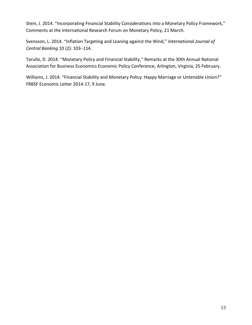Stein, J. 2014. "Incorporating Financial Stability Considerations into a Monetary Policy Framework," Comments at the International Research Forum on Monetary Policy, 21 March.

Svensson, L. 2014. "Inflation Targeting and Leaning against the Wind," *International Journal of Central Banking* 10 (2): 103–114.

Tarullo, D. 2014. "Monetary Policy and Financial Stability," Remarks at the 30th Annual National Association for Business Economics Economic Policy Conference, Arlington, Virginia, 25 February.

Williams, J. 2014. "Financial Stability and Monetary Policy: Happy Marriage or Untenable Union?" FRBSF Economic Letter 2014-17, 9 June.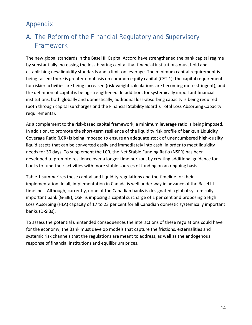# Appendix

# A. The Reform of the Financial Regulatory and Supervisory Framework

The new global standards in the Basel III Capital Accord have strengthened the bank capital regime by substantially increasing the loss-bearing capital that financial institutions must hold and establishing new liquidity standards and a limit on leverage. The minimum capital requirement is being raised; there is greater emphasis on common equity capital (CET 1); the capital requirements for riskier activities are being increased (risk-weight calculations are becoming more stringent); and the definition of capital is being strengthened. In addition, for systemically important financial institutions, both globally and domestically, additional loss-absorbing capacity is being required (both through capital surcharges and the Financial Stability Board's Total Loss Absorbing Capacity requirements).

As a complement to the risk-based capital framework, a minimum leverage ratio is being imposed. In addition, to promote the short-term resilience of the liquidity risk profile of banks, a Liquidity Coverage Ratio (LCR) is being imposed to ensure an adequate stock of unencumbered high-quality liquid assets that can be converted easily and immediately into cash, in order to meet liquidity needs for 30 days. To supplement the LCR, the Net Stable Funding Ratio (NSFR) has been developed to promote resilience over a longer time horizon, by creating additional guidance for banks to fund their activities with more stable sources of funding on an ongoing basis.

Table 1 summarizes these capital and liquidity regulations and the timeline for their implementation. In all, implementation in Canada is well under way in advance of the Basel III timelines. Although, currently, none of the Canadian banks is designated a global systemically important bank (G-SIB), OSFI is imposing a capital surcharge of 1 per cent and proposing a High Loss Absorbing (HLA) capacity of 17 to 23 per cent for all Canadian domestic systemically important banks (D-SIBs).

To assess the potential unintended consequences the interactions of these regulations could have for the economy, the Bank must develop models that capture the frictions, externalities and systemic risk channels that the regulations are meant to address, as well as the endogenous response of financial institutions and equilibrium prices.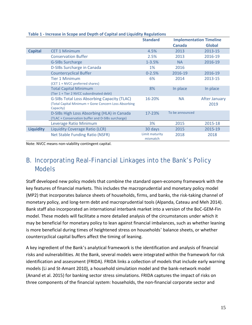|                  |                                                                                                                         | <b>Standard</b>            | <b>Implementation Timeline</b> |                              |
|------------------|-------------------------------------------------------------------------------------------------------------------------|----------------------------|--------------------------------|------------------------------|
|                  |                                                                                                                         |                            | Canada                         | <b>Global</b>                |
| <b>Capital</b>   | <b>CET 1 Minimum</b>                                                                                                    | 4.5%                       | 2013                           | 2013-15                      |
|                  | <b>Conservation Buffer</b>                                                                                              | 2.5%                       | 2013                           | 2016-19                      |
|                  | <b>G-SIBs Surcharge</b>                                                                                                 | $1 - 3.5%$                 | <b>NA</b>                      | 2016-19                      |
|                  | D-SIBs Surcharge in Canada                                                                                              | 1%                         | 2016                           |                              |
|                  | <b>Countercyclical Buffer</b>                                                                                           | $0 - 2.5%$                 | 2016-19                        | 2016-19                      |
|                  | <b>Tier 1 Minimum</b><br>(CET 1 + NVCC preferred shares)                                                                | 6%                         | 2014                           | 2013-15                      |
|                  | <b>Total Capital Minimum</b><br>(Tier 1 + Tier 2 NVCC subordinated debt)                                                | 8%                         | In place                       | In place                     |
|                  | <b>G-SIBs Total Loss Absorbing Capacity (TLAC)</b><br>(Total Capital Minimum + Gone Concern Loss Absorbing<br>Capacity) | 16-20%                     | <b>NA</b>                      | <b>After January</b><br>2019 |
|                  | D-SIBs High Loss Absorbing (HLA) in Canada<br>(TLAC + Conservation buffer and D-SIBs surcharge)                         | 17-23%                     | To be announced                |                              |
|                  | Leverage Ratio Minimum                                                                                                  | 3%                         | 2015                           | 2015-18                      |
| <b>Liquidity</b> | Liquidity Coverage Ratio (LCR)                                                                                          | 30 days                    | 2015                           | 2015-19                      |
|                  | Net Stable Funding Ratio (NSFR)                                                                                         | Limit maturity<br>mismatch | 2018                           | 2018                         |

#### **Table 1 - Increase in Scope and Depth of Capital and Liquidity Regulations**

Note: NVCC means non-viability contingent capital.

# B. Incorporating Real-Financial Linkages into the Bank's Policy Models

Staff developed new policy models that combine the standard open-economy framework with the key features of financial markets. This includes the macroprudential and monetary policy model (MP2) that incorporates balance sheets of households, firms, and banks, the risk-taking channel of monetary policy, and long-term debt and macroprudential tools (Alpanda, Cateau and Meh 2014). Bank staff also incorporated an international interbank market into a version of the BoC-GEM-Fin model. These models will facilitate a more detailed analysis of the circumstances under which it may be beneficial for monetary policy to lean against financial imbalances, such as whether leaning is more beneficial during times of heightened stress on households' balance sheets, or whether countercyclical capital buffers affect the timing of leaning.

A key ingredient of the Bank's analytical framework is the identification and analysis of financial risks and vulnerabilities. At the Bank, several models were integrated within the framework for risk identification and assessment (FRIDA). FRIDA links a collection of models that include early warning models (Li and St-Amant 2010), a household simulation model and the bank-network model (Anand et al. 2015) for banking sector stress simulations. FRIDA captures the impact of risks on three components of the financial system: households, the non-financial corporate sector and